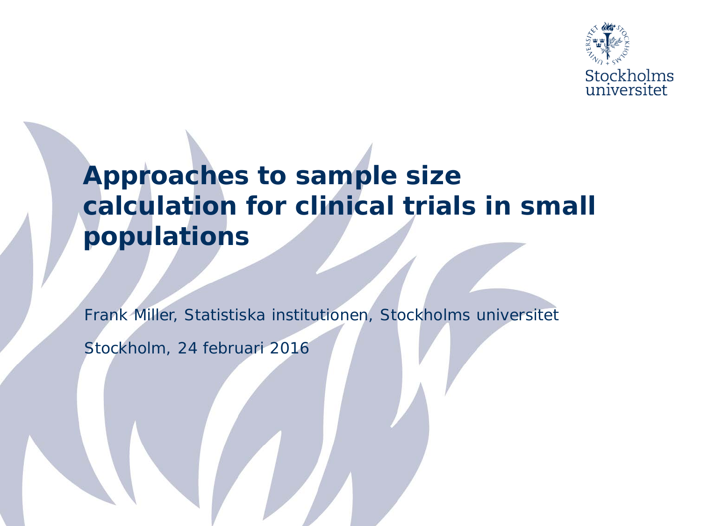

### **Approaches to sample size calculation for clinical trials in small populations**

Frank Miller, Statistiska institutionen, Stockholms universitet

Stockholm, 24 februari 2016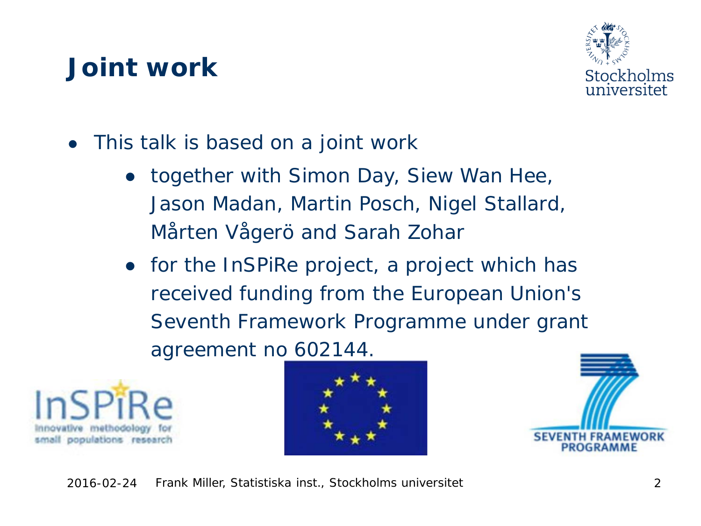## **Joint work**



- This talk is based on a joint work
	- together with Simon Day, Siew Wan Hee, Jason Madan, Martin Posch, Nigel Stallard, Mårten Vågerö and Sarah Zohar
	- for the InSPiRe project, a project which has received funding from the European Union's Seventh Framework Programme under grant agreement no 602144.





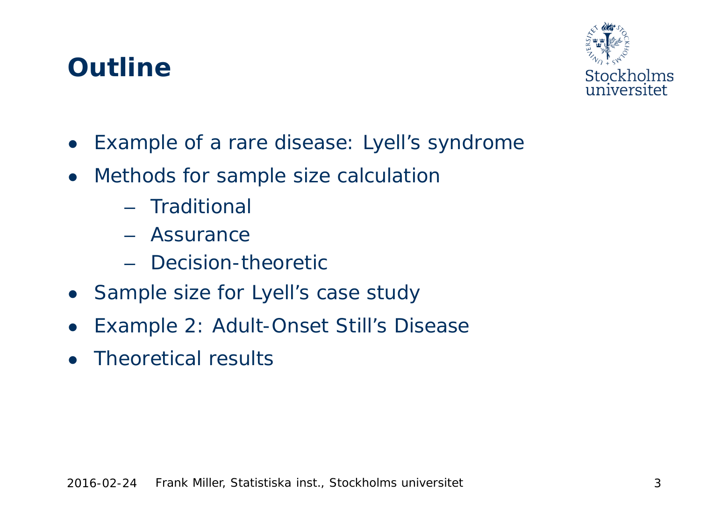### **Outline**



- Example of a rare disease: Lyell's syndrome
- Methods for sample size calculation
	- Traditional
	- Assurance
	- Decision-theoretic
- Sample size for Lyell's case study
- Example 2: Adult-Onset Still's Disease
- Theoretical results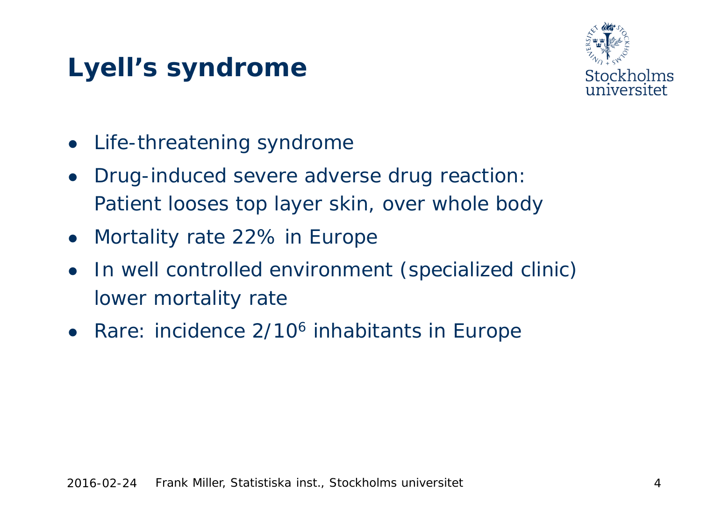# **Lyell's syndrome**



- Life-threatening syndrome
- Drug-induced severe adverse drug reaction: Patient looses top layer skin, over whole body
- Mortality rate 22% in Europe
- In well controlled environment (specialized clinic) lower mortality rate
- Rare: incidence 2/10<sup>6</sup> inhabitants in Europe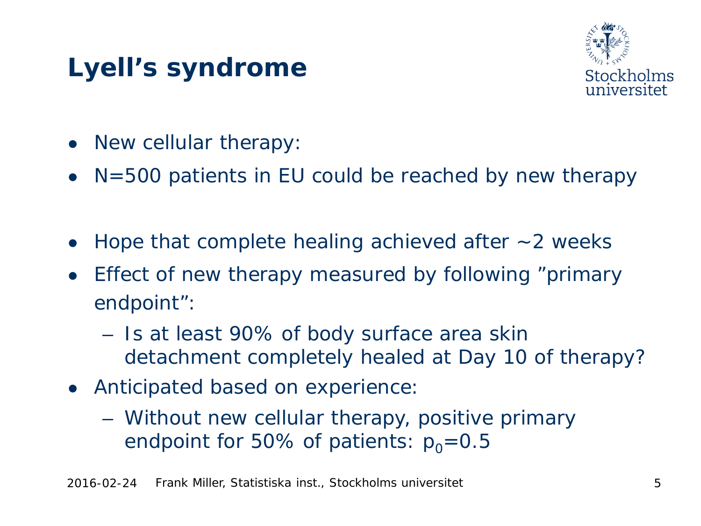# **Lyell's syndrome**



- New cellular therapy:
- $\bullet$  N=500 patients in EU could be reached by new therapy
- Hope that complete healing achieved after  $\sim$  2 weeks
- Effect of new therapy measured by following "primary" endpoint":
	- Is at least 90% of body surface area skin detachment completely healed at Day 10 of therapy?
- Anticipated based on experience:
	- Without new cellular therapy, positive primary endpoint for 50% of patients:  $p_0=0.5$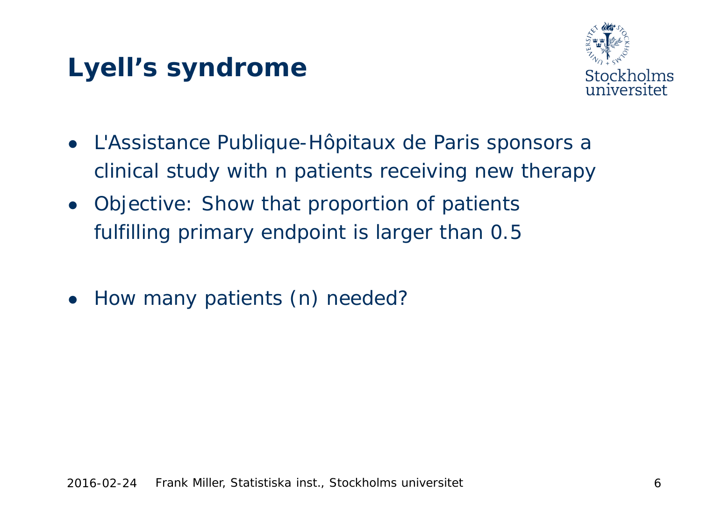# **Lyell's syndrome**



- L'Assistance Publique-Hôpitaux de Paris sponsors a clinical study with n patients receiving new therapy
- Objective: Show that proportion of patients fulfilling primary endpoint is larger than 0.5
- How many patients (n) needed?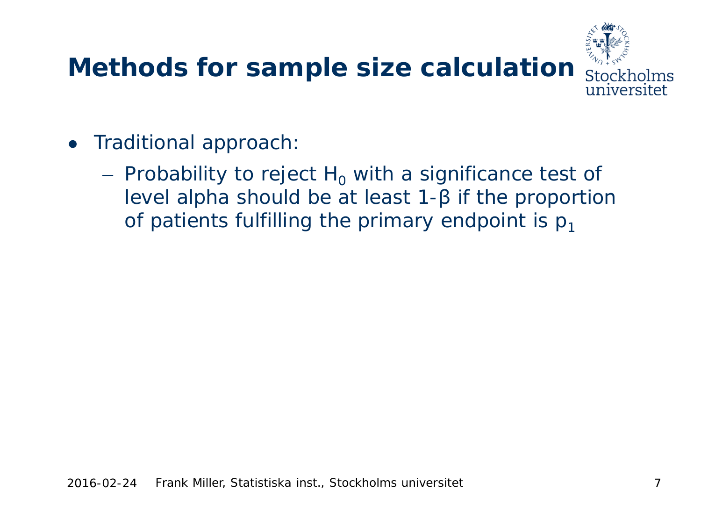

- Traditional approach:
	- Probability to reject  $H_0$  with a significance test of level alpha should be at least 1-β if the proportion of patients fulfilling the primary endpoint is  $p_1$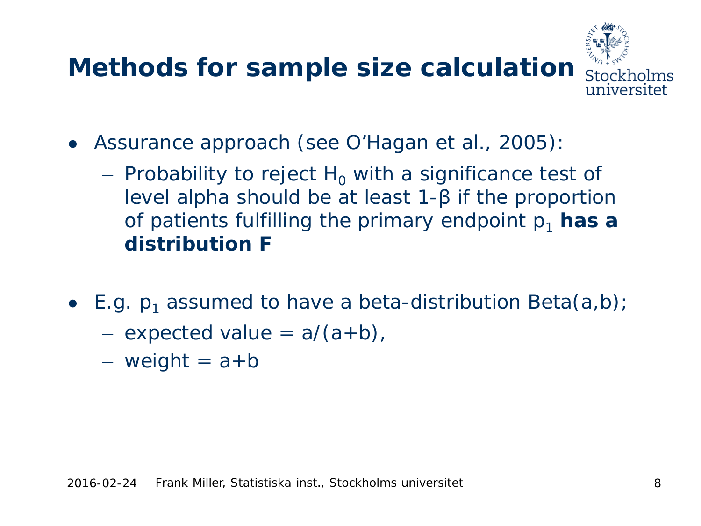# **Methods for sample size calculation**



- Assurance approach (see O'Hagan et al., 2005):
	- Probability to reject  $H_0$  with a significance test of level alpha should be at least 1-β if the proportion of patients fulfilling the primary endpoint p1 **has a distribution F**
- E.g.  $p_1$  assumed to have a beta-distribution Beta(a,b);
	- expected value =  $a/(a+b)$ ,
	- $-$  weight =  $a+b$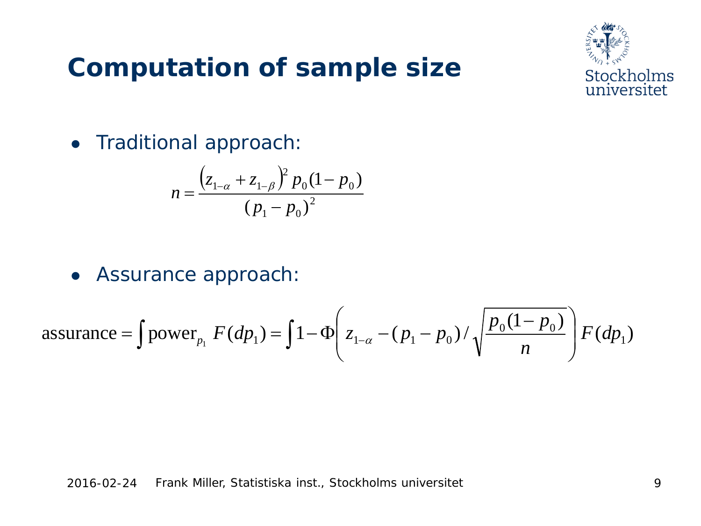### **Computation of sample size**



● Traditional approach:

$$
n = \frac{\left(z_{1-\alpha} + z_{1-\beta}\right)^2 p_0 (1 - p_0)}{\left(p_1 - p_0\right)^2}
$$

● Assurance approach:

$$
assume = \int power_{p_1} F(dp_1) = \int 1 - \Phi\left(z_{1-\alpha} - (p_1 - p_0) / \sqrt{\frac{p_0(1 - p_0)}{n}}\right) F(dp_1)
$$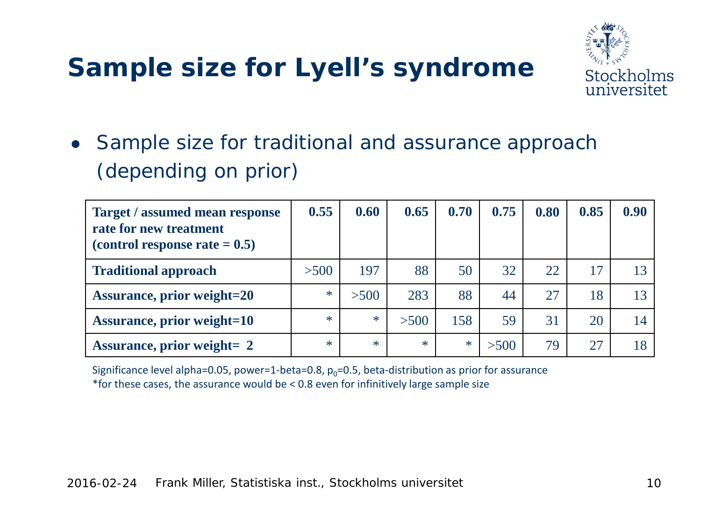## **Sample size for Lyell's syndrome**



• Sample size for traditional and assurance approach (depending on prior)

| <b>Target / assumed mean response</b><br>rate for new treatment<br>(control response rate $= 0.5$ ) | 0.55   | 0.60   | 0.65   | 0.70   | 0.75 | 0.80 | 0.85 | 0.90            |
|-----------------------------------------------------------------------------------------------------|--------|--------|--------|--------|------|------|------|-----------------|
| <b>Traditional approach</b>                                                                         | >500   | 197    | 88     | 50     | 32   | 22   | 17   | 13              |
| <b>Assurance, prior weight=20</b>                                                                   | $\ast$ | >500   | 283    | 88     | 44   | 27   | 18   | 13 <sup>7</sup> |
| <b>Assurance, prior weight=10</b>                                                                   | $\ast$ | $\ast$ | >500   | 158    | 59   | 31   | 20   | 14              |
| <b>Assurance, prior weight= 2</b>                                                                   | $\ast$ | $\ast$ | $\ast$ | $\ast$ | >500 | 79   | 27   | 18              |

Significance level alpha=0.05, power=1-beta=0.8,  $p_0$ =0.5, beta-distribution as prior for assurance \*for these cases, the assurance would be < 0.8 even for infinitively large sample size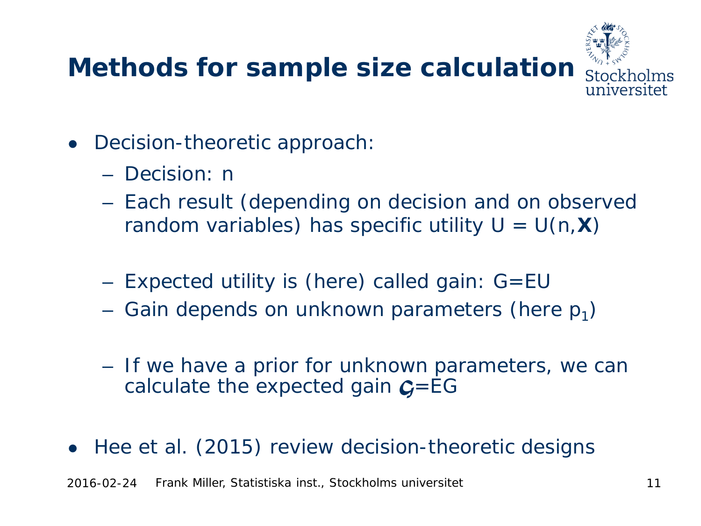# **Methods for sample size calculation**



- Decision-theoretic approach:
	- Decision: n
	- Each result (depending on decision and on observed random variables) has specific utility  $U = U(n, X)$
	- Expected utility is (here) called gain: G=EU
	- Gain depends on unknown parameters (here  $p_1$ )
	- If we have a prior for unknown parameters, we can calculate the expected gain *G*=EG
- Hee et al. (2015) review decision-theoretic designs

2016-02-24 Frank Miller, Statistiska inst., Stockholms universitet 11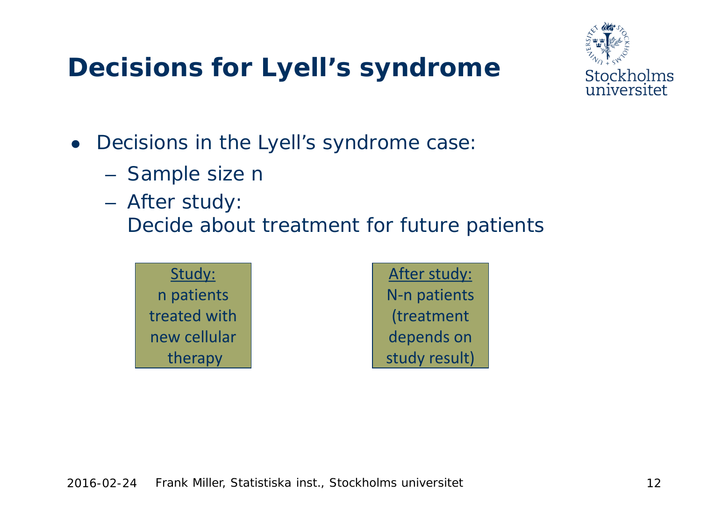## **Decisions for Lyell's syndrome**



- Decisions in the Lyell's syndrome case:
	- Sample size n
	- After study: Decide about treatment for future patients



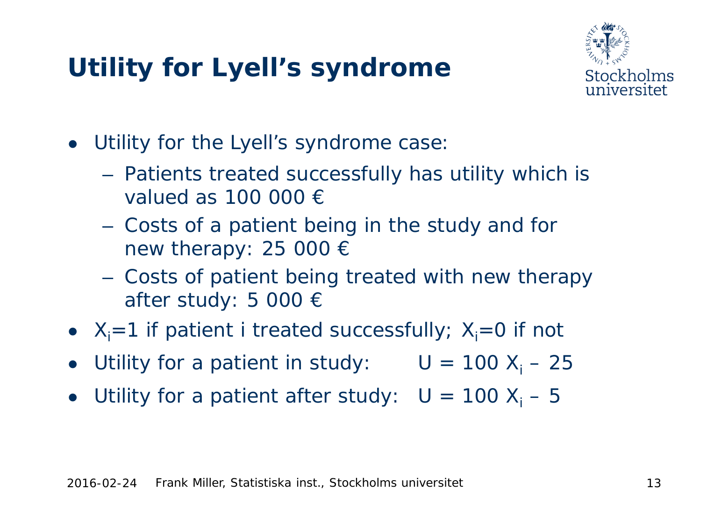# **Utility for Lyell's syndrome**



- Utility for the Lyell's syndrome case:
	- Patients treated successfully has utility which is valued as 100 000 €
	- Costs of a patient being in the study and for new therapy: 25 000  $\epsilon$
	- Costs of patient being treated with new therapy after study: 5 000 €
- $X_i = 1$  if patient i treated successfully;  $X_i = 0$  if not
- Utility for a patient in study:  $U = 100 X_i 25$
- Utility for a patient after study:  $U = 100 X_i 5$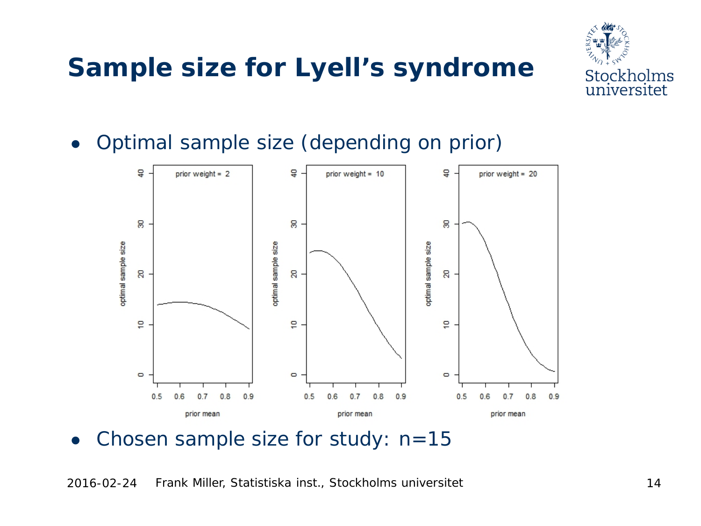# **Sample size for Lyell's syndrome**



• Optimal sample size (depending on prior)



• Chosen sample size for study:  $n=15$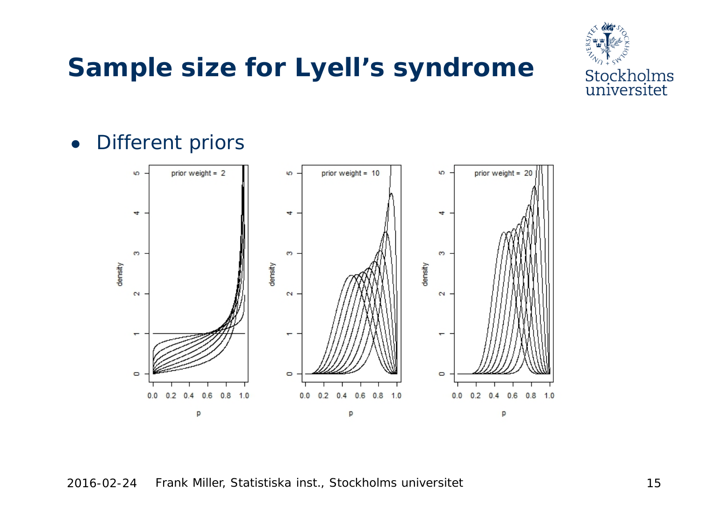



### ● Different priors



#### 2016-02-24 Frank Miller, Statistiska inst., Stockholms universitet 15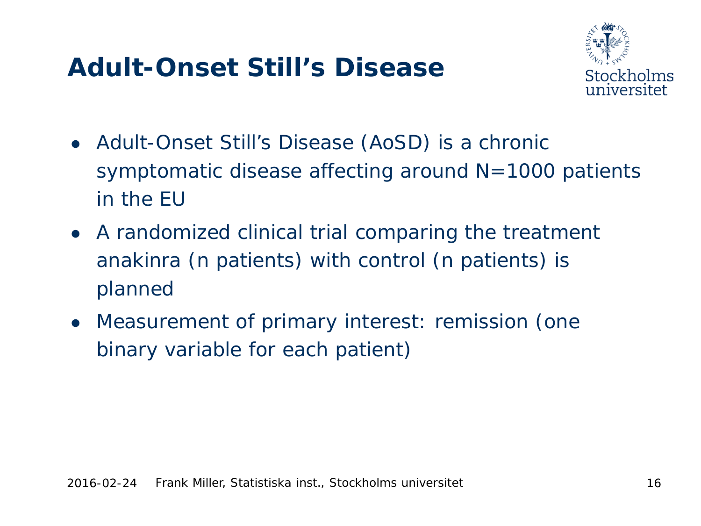### **Adult-Onset Still's Disease**



- Adult-Onset Still's Disease (AoSD) is a chronic symptomatic disease affecting around N=1000 patients in the EU
- A randomized clinical trial comparing the treatment anakinra (n patients) with control (n patients) is planned
- Measurement of primary interest: remission (one binary variable for each patient)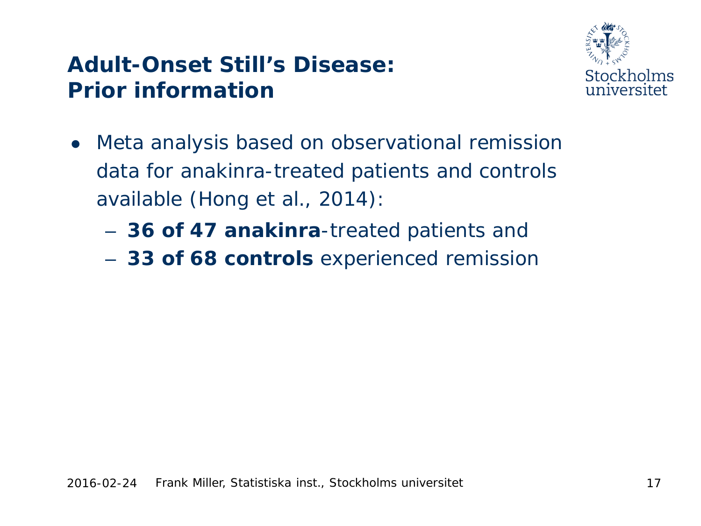### **Adult-Onset Still's Disease: Prior information**



- Meta analysis based on observational remission data for anakinra-treated patients and controls available (Hong et al., 2014):
	- **36 of 47 anakinra**-treated patients and
	- **33 of 68 controls** experienced remission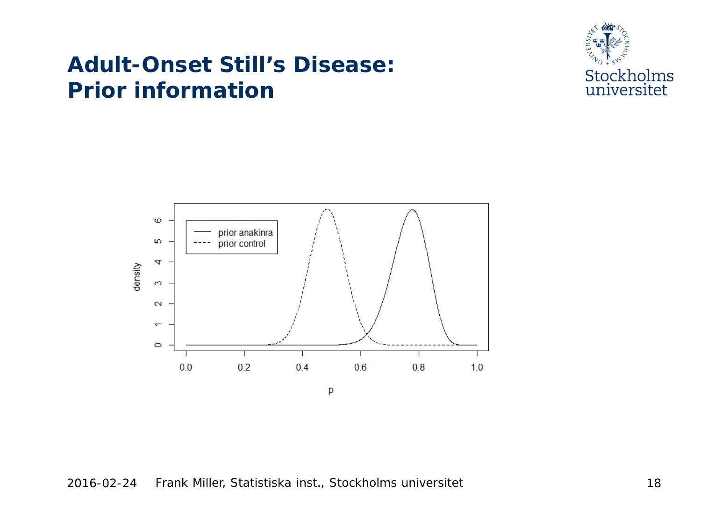### **Adult-Onset Still's Disease: Prior information**





### 2016-02-24 Frank Miller, Statistiska inst., Stockholms universitet 18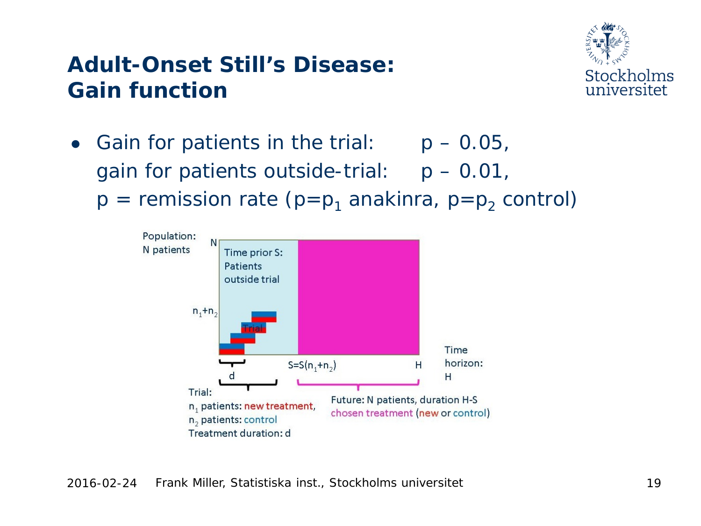### **Adult-Onset Still's Disease: Gain function**



• Gain for patients in the trial:  $p - 0.05$ , gain for patients outside-trial:  $p - 0.01$ ,

 $p =$  remission rate ( $p=p_1$  anakinra,  $p=p_2$  control)

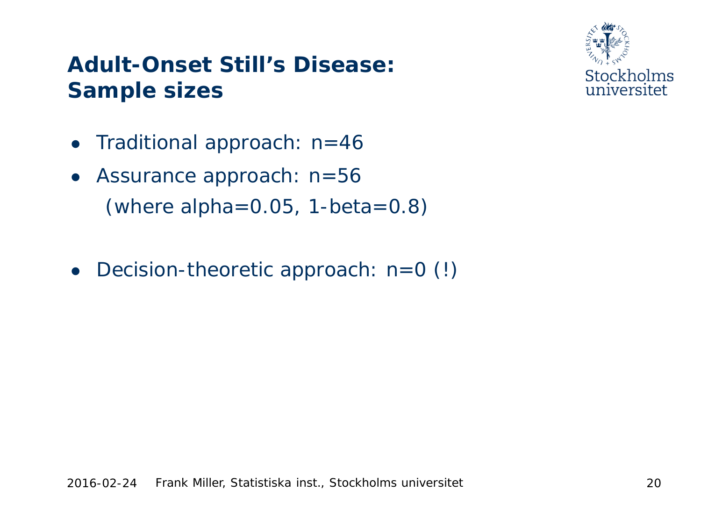### **Adult-Onset Still's Disease: Sample sizes**



- Traditional approach: n=46
- Assurance approach:  $n=56$ (where alpha= $0.05$ , 1-beta= $0.8$ )
- Decision-theoretic approach:  $n=0$  (!)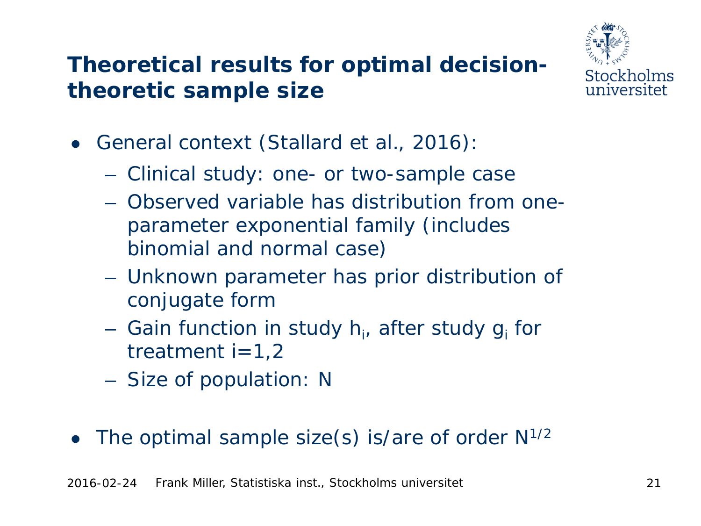### **Theoretical results for optimal decisiontheoretic sample size**



- General context (Stallard et al., 2016):
	- Clinical study: one- or two-sample case
	- Observed variable has distribution from oneparameter exponential family (includes binomial and normal case)
	- Unknown parameter has prior distribution of conjugate form
	- Gain function in study h<sub>i</sub>, after study g<sub>i</sub> for treatment  $i=1,2$
	- Size of population: N
- The optimal sample size(s) is/are of order  $N^{1/2}$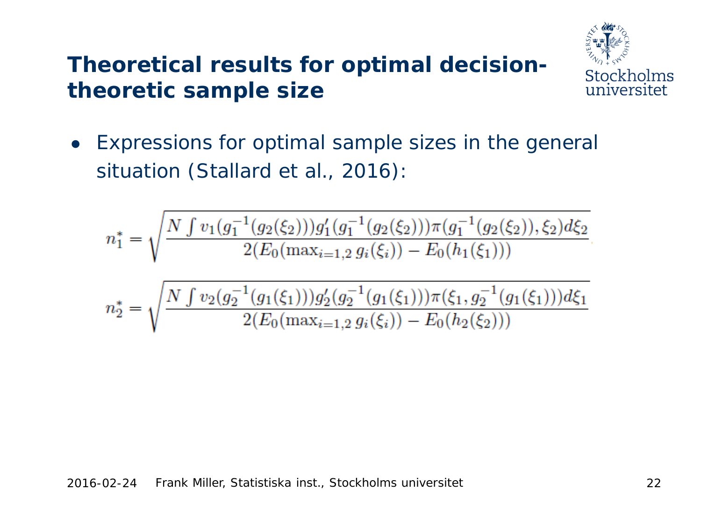### **Theoretical results for optimal decisiontheoretic sample size**



• Expressions for optimal sample sizes in the general situation (Stallard et al., 2016):

$$
n_1^* = \sqrt{\frac{N \int v_1(g_1^{-1}(g_2(\xi_2)))g_1'(g_1^{-1}(g_2(\xi_2)))\pi(g_1^{-1}(g_2(\xi_2)), \xi_2)d\xi_2}{2(E_0(\max_{i=1,2} g_i(\xi_i)) - E_0(h_1(\xi_1)))}}
$$

$$
n_2^* = \sqrt{\frac{N \int v_2(g_2^{-1}(g_1(\xi_1)))g_2'(g_2^{-1}(g_1(\xi_1)))\pi(\xi_1, g_2^{-1}(g_1(\xi_1)))d\xi_1}{2(E_0(\max_{i=1,2} g_i(\xi_i)) - E_0(h_2(\xi_2)))}}
$$